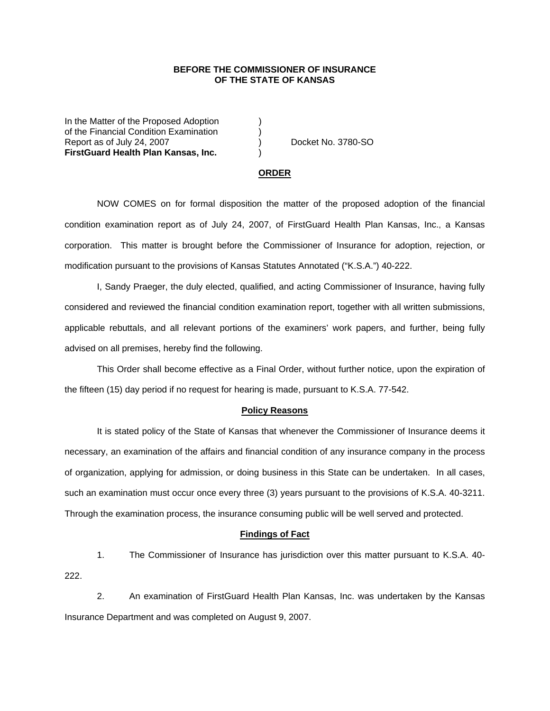## **BEFORE THE COMMISSIONER OF INSURANCE OF THE STATE OF KANSAS**

In the Matter of the Proposed Adoption of the Financial Condition Examination ) Report as of July 24, 2007 (and the control of the Docket No. 3780-SO **FirstGuard Health Plan Kansas, Inc.** )

#### **ORDER**

 NOW COMES on for formal disposition the matter of the proposed adoption of the financial condition examination report as of July 24, 2007, of FirstGuard Health Plan Kansas, Inc., a Kansas corporation. This matter is brought before the Commissioner of Insurance for adoption, rejection, or modification pursuant to the provisions of Kansas Statutes Annotated ("K.S.A.") 40-222.

 I, Sandy Praeger, the duly elected, qualified, and acting Commissioner of Insurance, having fully considered and reviewed the financial condition examination report, together with all written submissions, applicable rebuttals, and all relevant portions of the examiners' work papers, and further, being fully advised on all premises, hereby find the following.

This Order shall become effective as a Final Order, without further notice, upon the expiration of the fifteen (15) day period if no request for hearing is made, pursuant to K.S.A. 77-542.

### **Policy Reasons**

 It is stated policy of the State of Kansas that whenever the Commissioner of Insurance deems it necessary, an examination of the affairs and financial condition of any insurance company in the process of organization, applying for admission, or doing business in this State can be undertaken. In all cases, such an examination must occur once every three (3) years pursuant to the provisions of K.S.A. 40-3211. Through the examination process, the insurance consuming public will be well served and protected.

#### **Findings of Fact**

 1. The Commissioner of Insurance has jurisdiction over this matter pursuant to K.S.A. 40- 222.

 2. An examination of FirstGuard Health Plan Kansas, Inc. was undertaken by the Kansas Insurance Department and was completed on August 9, 2007.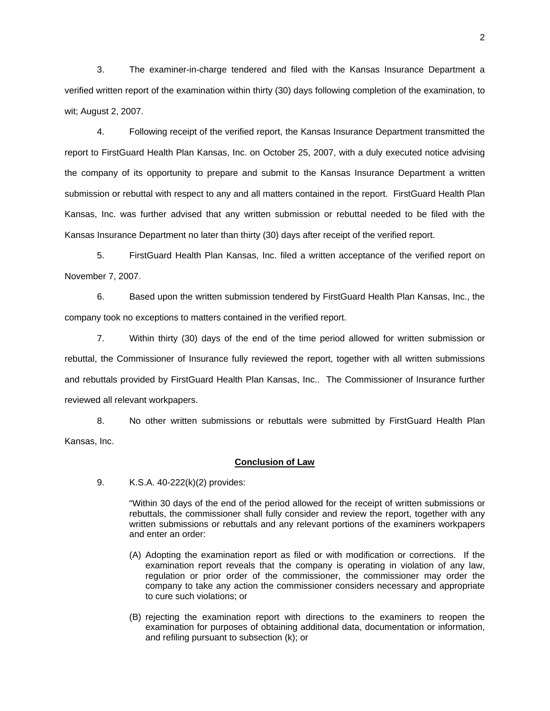3. The examiner-in-charge tendered and filed with the Kansas Insurance Department a verified written report of the examination within thirty (30) days following completion of the examination, to wit; August 2, 2007.

 4. Following receipt of the verified report, the Kansas Insurance Department transmitted the report to FirstGuard Health Plan Kansas, Inc. on October 25, 2007, with a duly executed notice advising the company of its opportunity to prepare and submit to the Kansas Insurance Department a written submission or rebuttal with respect to any and all matters contained in the report. FirstGuard Health Plan Kansas, Inc. was further advised that any written submission or rebuttal needed to be filed with the Kansas Insurance Department no later than thirty (30) days after receipt of the verified report.

 5. FirstGuard Health Plan Kansas, Inc. filed a written acceptance of the verified report on November 7, 2007.

6. Based upon the written submission tendered by FirstGuard Health Plan Kansas, Inc., the company took no exceptions to matters contained in the verified report.

 7. Within thirty (30) days of the end of the time period allowed for written submission or rebuttal, the Commissioner of Insurance fully reviewed the report, together with all written submissions and rebuttals provided by FirstGuard Health Plan Kansas, Inc.. The Commissioner of Insurance further reviewed all relevant workpapers.

 8. No other written submissions or rebuttals were submitted by FirstGuard Health Plan Kansas, Inc.

#### **Conclusion of Law**

9. K.S.A. 40-222(k)(2) provides:

"Within 30 days of the end of the period allowed for the receipt of written submissions or rebuttals, the commissioner shall fully consider and review the report, together with any written submissions or rebuttals and any relevant portions of the examiners workpapers and enter an order:

- (A) Adopting the examination report as filed or with modification or corrections. If the examination report reveals that the company is operating in violation of any law, regulation or prior order of the commissioner, the commissioner may order the company to take any action the commissioner considers necessary and appropriate to cure such violations; or
- (B) rejecting the examination report with directions to the examiners to reopen the examination for purposes of obtaining additional data, documentation or information, and refiling pursuant to subsection (k); or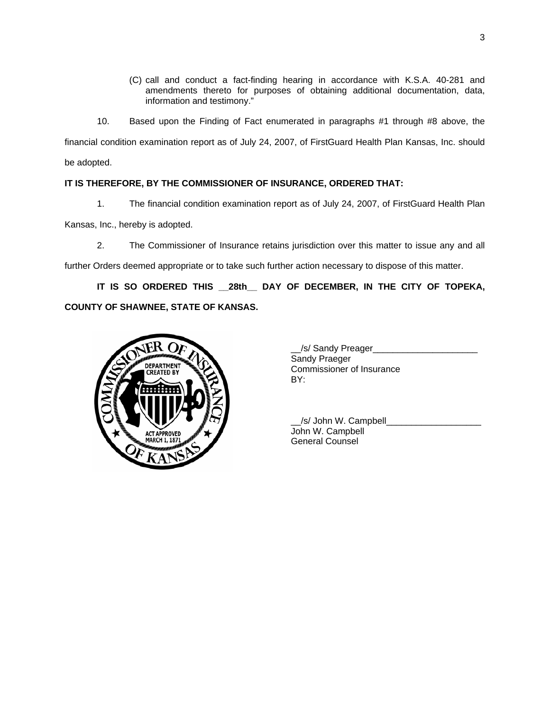- (C) call and conduct a fact-finding hearing in accordance with K.S.A. 40-281 and amendments thereto for purposes of obtaining additional documentation, data, information and testimony."
- 10. Based upon the Finding of Fact enumerated in paragraphs #1 through #8 above, the

financial condition examination report as of July 24, 2007, of FirstGuard Health Plan Kansas, Inc. should be adopted.

# **IT IS THEREFORE, BY THE COMMISSIONER OF INSURANCE, ORDERED THAT:**

1. The financial condition examination report as of July 24, 2007, of FirstGuard Health Plan

Kansas, Inc., hereby is adopted.

2. The Commissioner of Insurance retains jurisdiction over this matter to issue any and all

further Orders deemed appropriate or to take such further action necessary to dispose of this matter.

**IT IS SO ORDERED THIS \_\_28th\_\_ DAY OF DECEMBER, IN THE CITY OF TOPEKA, COUNTY OF SHAWNEE, STATE OF KANSAS.** 



| _/s/ Sandy Preager        |  |
|---------------------------|--|
| Sandy Praeger             |  |
| Commissioner of Insurance |  |
| BY:                       |  |
|                           |  |

| /s/ John W. Campbell   |  |
|------------------------|--|
| John W. Campbell       |  |
| <b>General Counsel</b> |  |